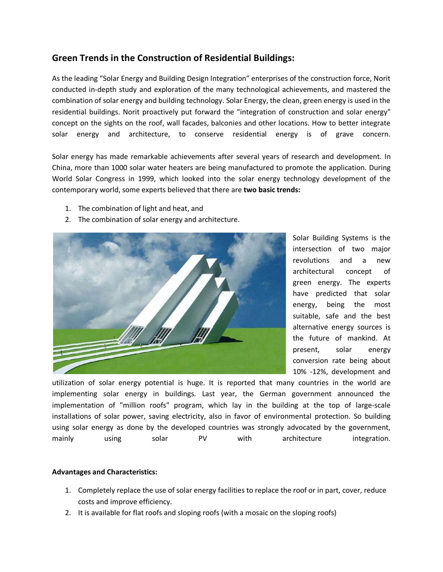## **Green Trends in the Construction of Residential Buildings:**

As the leading "Solar Energy and Building Design Integration" enterprises of the construction force, Norit conducted in-depth study and exploration of the many technological achievements, and mastered the combination of solar energy and building technology. Solar Energy, the clean, green energy is used in the residential buildings. Norit proactively put forward the "integration of construction and solar energy" concept on the sights on the roof, wall facades, balconies and other locations. How to better integrate solar energy and architecture, to conserve residential energy is of grave concern.

Solar energy has made remarkable achievements after several years of research and development. In China, more than 1000 solar water heaters are being manufactured to promote the application. During World Solar Congress in 1999, which looked into the solar energy technology development of the contemporary world, some experts believed that there are **two basic trends:**

- 1. The combination of light and heat, and
- 2. The combination of solar energy and architecture.



Solar Building Systems is the intersection of two major revolutions and a new architectural concept of green energy. The experts have predicted that solar energy, being the most suitable, safe and the best alternative energy sources is the future of mankind. At present, solar energy conversion rate being about 10% -12%, development and

utilization of solar energy potential is huge. It is reported that many countries in the world are implementing solar energy in buildings. Last year, the German government announced the implementation of "million roofs" program, which lay in the building at the top of large-scale installations of solar power, saving electricity, also in favor of environmental protection. So building using solar energy as done by the developed countries was strongly advocated by the government, mainly using solar PV with architecture integration.

## **Advantages and Characteristics:**

- 1. Completely replace the use of solar energy facilities to replace the roof or in part, cover, reduce costs and improve efficiency.
- 2. It is available for flat roofs and sloping roofs (with a mosaic on the sloping roofs)